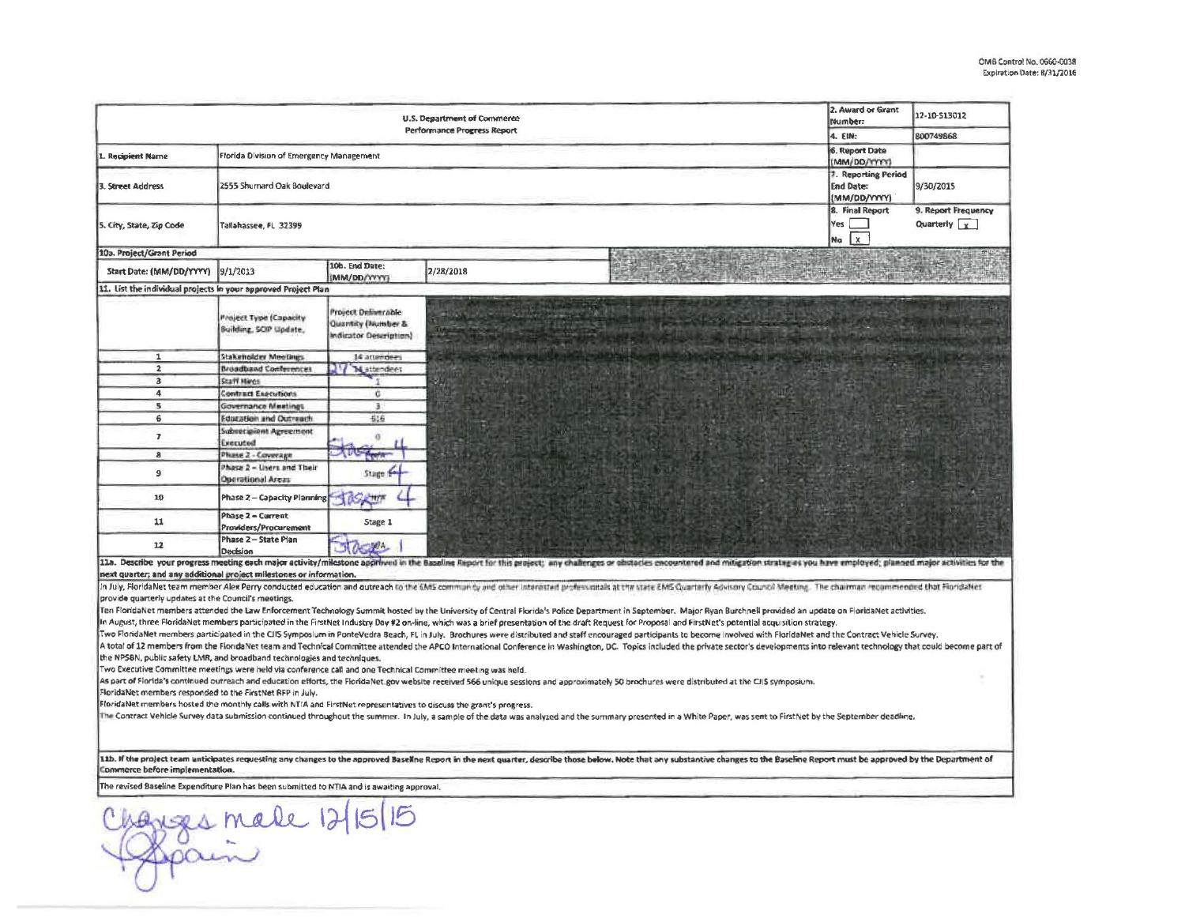| Performance Progress Report<br>4. EIN:<br>6. Report Date<br>Florida Division of Emergency Management<br>1. Recipient Name<br>MM/DD/YYYYJ<br>7. Reporting Period<br>2555 Shumard Oak Boulevard<br>3. Street Address<br><b>End Date:</b><br>(MM/DD/YYYY)<br>8. Final Report<br>Yes<br>5. City, State, Zip Code<br>Tallahassee, FL 32399<br>$\mathbf{x}$<br>Na<br>10a. Project/Grant Period<br>10b. End Date:<br>9/1/2013<br>2/28/2018<br>Start Date: (MM/DD/YYYY)<br>MM/DD/WYY<br>11. List the individual projects in your approved Project Plan<br><b>Project Deliverable</b><br><b>Project Type (Capacity</b><br>Quantity (Number &<br>Building, SCIP (Ipdate,<br>Indicator Description)<br>Stakeholder Meetings<br>14 attendees<br>$\mathbf{1}$<br>$\overline{2}$<br><b>Broadband Conferences</b><br>V Mattendees<br>3<br>Staff Hings<br>4<br><b>Contract Executions</b><br>c<br>5<br><b>Governance Meetings</b><br>3<br>6<br>Education and Outneach<br>516<br>Subrecipient Agreement<br>$\overline{ }$<br>$\alpha$<br>Executed<br>8<br>Phase 2 - Coverage<br>Phase 2 - Lisers and Their<br>$\overline{9}$<br>Stage \$<br><b>Operational Areas</b><br>10<br>Phase 2 - Capacity Planning<br>Phase 2 - Current<br>11<br>Stage 1<br>Providers/Procurement<br>Phase 2 - State Plan<br>12<br><b>OCHA</b><br>Decision<br>11a. Describe your progress meeting each major activity/milestone approved in the Baseline Report for this project; any challenges or obstacles encountered and miligation stratagies you have employed; planned major activit<br>next quarter; and any additional project milestones or information.<br>In July, FloridaNet team member Alex Perry conducted education and outreach to the EMS community and other interested professiontals at the state EMS Cuanterly Advisory Council Meeting. The chairman recommended that Florid<br>provide quarterly updates at the Council's meetings.<br>Ten FloridaNet members attended the Law Enforcement Technology Summit hosted by the University of Central Florida's Police Department in September. Major Ryan Burchnell provided an update on FloridaNet activities.<br>In August, three FloridaNet members participated in the FirstNet Industry Day #2 on-line, which was a brief presentation of the draft Request for Proposal and FirstNet's potential acquisition strategy.<br>Two FloridaNet members participated in the CIIS Symposium in PonteVedra Beach, FL in July. Brochures were distributed and staff encouraged participants to become involved with FloridaNet and the Contract Vehicle Survey.<br>A total of 12 members from the FloridaNet team and Technical Committee attended the APCO International Conference in Washington, DC. Topics included the private sector's developments into relevant technology that could bec<br>the NPSBN, public safety LMR, and broadband technologies and techniques.<br>Two Executive Committee meetings were held via conference call and one Technical Committee meeting was held.<br>As part of Fiorida's continued outreach and education efforts, the FloridaNet.gov website received 566 unique sessions and approximately 50 brochures were distributed at the CIIS symposium.<br>FloridaNet members responded to the FirstNet RFP in July.<br>FloridaNet members hosted the monthly calls with NTIA and FirstNet representatives to discuss the grant's progress.<br>The Contract Vehicle Survey data submission continued throughout the summer. In July, a sample of the data was analyzed and the summary presented in a White Paper, was sent to FirstNet by the September deadline.<br>11b. If the project team unticipates requesting any changes to the approved Baseline Report in the next quarter, describe those below. Note that any substantive changes to the Baseline Report must be approved by the Depart<br>Commerce before implementation.<br>The revised Baseline Expenditure Plan has been submitted to NTIA and is awaiting approval. | 12-10-S13012                         |
|-------------------------------------------------------------------------------------------------------------------------------------------------------------------------------------------------------------------------------------------------------------------------------------------------------------------------------------------------------------------------------------------------------------------------------------------------------------------------------------------------------------------------------------------------------------------------------------------------------------------------------------------------------------------------------------------------------------------------------------------------------------------------------------------------------------------------------------------------------------------------------------------------------------------------------------------------------------------------------------------------------------------------------------------------------------------------------------------------------------------------------------------------------------------------------------------------------------------------------------------------------------------------------------------------------------------------------------------------------------------------------------------------------------------------------------------------------------------------------------------------------------------------------------------------------------------------------------------------------------------------------------------------------------------------------------------------------------------------------------------------------------------------------------------------------------------------------------------------------------------------------------------------------------------------------------------------------------------------------------------------------------------------------------------------------------------------------------------------------------------------------------------------------------------------------------------------------------------------------------------------------------------------------------------------------------------------------------------------------------------------------------------------------------------------------------------------------------------------------------------------------------------------------------------------------------------------------------------------------------------------------------------------------------------------------------------------------------------------------------------------------------------------------------------------------------------------------------------------------------------------------------------------------------------------------------------------------------------------------------------------------------------------------------------------------------------------------------------------------------------------------------------------------------------------------------------------------------------------------------------------------------------------------------------------------------------------------------------------------------------------------------------------------------------------------------------------------------------------------------------------------------------------------------------------------------------------------------------------------------------------------------------------------------------------------------------------------------------------------------------------------------------------------------------------------------------------------------------------------------------------------------------------------------------------------------------------------------------------------------------------------|--------------------------------------|
|                                                                                                                                                                                                                                                                                                                                                                                                                                                                                                                                                                                                                                                                                                                                                                                                                                                                                                                                                                                                                                                                                                                                                                                                                                                                                                                                                                                                                                                                                                                                                                                                                                                                                                                                                                                                                                                                                                                                                                                                                                                                                                                                                                                                                                                                                                                                                                                                                                                                                                                                                                                                                                                                                                                                                                                                                                                                                                                                                                                                                                                                                                                                                                                                                                                                                                                                                                                                                                                                                                                                                                                                                                                                                                                                                                                                                                                                                                                                                                                                       | 800749868                            |
|                                                                                                                                                                                                                                                                                                                                                                                                                                                                                                                                                                                                                                                                                                                                                                                                                                                                                                                                                                                                                                                                                                                                                                                                                                                                                                                                                                                                                                                                                                                                                                                                                                                                                                                                                                                                                                                                                                                                                                                                                                                                                                                                                                                                                                                                                                                                                                                                                                                                                                                                                                                                                                                                                                                                                                                                                                                                                                                                                                                                                                                                                                                                                                                                                                                                                                                                                                                                                                                                                                                                                                                                                                                                                                                                                                                                                                                                                                                                                                                                       |                                      |
|                                                                                                                                                                                                                                                                                                                                                                                                                                                                                                                                                                                                                                                                                                                                                                                                                                                                                                                                                                                                                                                                                                                                                                                                                                                                                                                                                                                                                                                                                                                                                                                                                                                                                                                                                                                                                                                                                                                                                                                                                                                                                                                                                                                                                                                                                                                                                                                                                                                                                                                                                                                                                                                                                                                                                                                                                                                                                                                                                                                                                                                                                                                                                                                                                                                                                                                                                                                                                                                                                                                                                                                                                                                                                                                                                                                                                                                                                                                                                                                                       | 9/30/2015                            |
|                                                                                                                                                                                                                                                                                                                                                                                                                                                                                                                                                                                                                                                                                                                                                                                                                                                                                                                                                                                                                                                                                                                                                                                                                                                                                                                                                                                                                                                                                                                                                                                                                                                                                                                                                                                                                                                                                                                                                                                                                                                                                                                                                                                                                                                                                                                                                                                                                                                                                                                                                                                                                                                                                                                                                                                                                                                                                                                                                                                                                                                                                                                                                                                                                                                                                                                                                                                                                                                                                                                                                                                                                                                                                                                                                                                                                                                                                                                                                                                                       | 9. Report Frequency<br>Quarterly $x$ |
|                                                                                                                                                                                                                                                                                                                                                                                                                                                                                                                                                                                                                                                                                                                                                                                                                                                                                                                                                                                                                                                                                                                                                                                                                                                                                                                                                                                                                                                                                                                                                                                                                                                                                                                                                                                                                                                                                                                                                                                                                                                                                                                                                                                                                                                                                                                                                                                                                                                                                                                                                                                                                                                                                                                                                                                                                                                                                                                                                                                                                                                                                                                                                                                                                                                                                                                                                                                                                                                                                                                                                                                                                                                                                                                                                                                                                                                                                                                                                                                                       |                                      |
|                                                                                                                                                                                                                                                                                                                                                                                                                                                                                                                                                                                                                                                                                                                                                                                                                                                                                                                                                                                                                                                                                                                                                                                                                                                                                                                                                                                                                                                                                                                                                                                                                                                                                                                                                                                                                                                                                                                                                                                                                                                                                                                                                                                                                                                                                                                                                                                                                                                                                                                                                                                                                                                                                                                                                                                                                                                                                                                                                                                                                                                                                                                                                                                                                                                                                                                                                                                                                                                                                                                                                                                                                                                                                                                                                                                                                                                                                                                                                                                                       |                                      |
|                                                                                                                                                                                                                                                                                                                                                                                                                                                                                                                                                                                                                                                                                                                                                                                                                                                                                                                                                                                                                                                                                                                                                                                                                                                                                                                                                                                                                                                                                                                                                                                                                                                                                                                                                                                                                                                                                                                                                                                                                                                                                                                                                                                                                                                                                                                                                                                                                                                                                                                                                                                                                                                                                                                                                                                                                                                                                                                                                                                                                                                                                                                                                                                                                                                                                                                                                                                                                                                                                                                                                                                                                                                                                                                                                                                                                                                                                                                                                                                                       |                                      |
|                                                                                                                                                                                                                                                                                                                                                                                                                                                                                                                                                                                                                                                                                                                                                                                                                                                                                                                                                                                                                                                                                                                                                                                                                                                                                                                                                                                                                                                                                                                                                                                                                                                                                                                                                                                                                                                                                                                                                                                                                                                                                                                                                                                                                                                                                                                                                                                                                                                                                                                                                                                                                                                                                                                                                                                                                                                                                                                                                                                                                                                                                                                                                                                                                                                                                                                                                                                                                                                                                                                                                                                                                                                                                                                                                                                                                                                                                                                                                                                                       |                                      |
|                                                                                                                                                                                                                                                                                                                                                                                                                                                                                                                                                                                                                                                                                                                                                                                                                                                                                                                                                                                                                                                                                                                                                                                                                                                                                                                                                                                                                                                                                                                                                                                                                                                                                                                                                                                                                                                                                                                                                                                                                                                                                                                                                                                                                                                                                                                                                                                                                                                                                                                                                                                                                                                                                                                                                                                                                                                                                                                                                                                                                                                                                                                                                                                                                                                                                                                                                                                                                                                                                                                                                                                                                                                                                                                                                                                                                                                                                                                                                                                                       |                                      |
|                                                                                                                                                                                                                                                                                                                                                                                                                                                                                                                                                                                                                                                                                                                                                                                                                                                                                                                                                                                                                                                                                                                                                                                                                                                                                                                                                                                                                                                                                                                                                                                                                                                                                                                                                                                                                                                                                                                                                                                                                                                                                                                                                                                                                                                                                                                                                                                                                                                                                                                                                                                                                                                                                                                                                                                                                                                                                                                                                                                                                                                                                                                                                                                                                                                                                                                                                                                                                                                                                                                                                                                                                                                                                                                                                                                                                                                                                                                                                                                                       |                                      |
|                                                                                                                                                                                                                                                                                                                                                                                                                                                                                                                                                                                                                                                                                                                                                                                                                                                                                                                                                                                                                                                                                                                                                                                                                                                                                                                                                                                                                                                                                                                                                                                                                                                                                                                                                                                                                                                                                                                                                                                                                                                                                                                                                                                                                                                                                                                                                                                                                                                                                                                                                                                                                                                                                                                                                                                                                                                                                                                                                                                                                                                                                                                                                                                                                                                                                                                                                                                                                                                                                                                                                                                                                                                                                                                                                                                                                                                                                                                                                                                                       |                                      |
|                                                                                                                                                                                                                                                                                                                                                                                                                                                                                                                                                                                                                                                                                                                                                                                                                                                                                                                                                                                                                                                                                                                                                                                                                                                                                                                                                                                                                                                                                                                                                                                                                                                                                                                                                                                                                                                                                                                                                                                                                                                                                                                                                                                                                                                                                                                                                                                                                                                                                                                                                                                                                                                                                                                                                                                                                                                                                                                                                                                                                                                                                                                                                                                                                                                                                                                                                                                                                                                                                                                                                                                                                                                                                                                                                                                                                                                                                                                                                                                                       |                                      |
|                                                                                                                                                                                                                                                                                                                                                                                                                                                                                                                                                                                                                                                                                                                                                                                                                                                                                                                                                                                                                                                                                                                                                                                                                                                                                                                                                                                                                                                                                                                                                                                                                                                                                                                                                                                                                                                                                                                                                                                                                                                                                                                                                                                                                                                                                                                                                                                                                                                                                                                                                                                                                                                                                                                                                                                                                                                                                                                                                                                                                                                                                                                                                                                                                                                                                                                                                                                                                                                                                                                                                                                                                                                                                                                                                                                                                                                                                                                                                                                                       |                                      |
|                                                                                                                                                                                                                                                                                                                                                                                                                                                                                                                                                                                                                                                                                                                                                                                                                                                                                                                                                                                                                                                                                                                                                                                                                                                                                                                                                                                                                                                                                                                                                                                                                                                                                                                                                                                                                                                                                                                                                                                                                                                                                                                                                                                                                                                                                                                                                                                                                                                                                                                                                                                                                                                                                                                                                                                                                                                                                                                                                                                                                                                                                                                                                                                                                                                                                                                                                                                                                                                                                                                                                                                                                                                                                                                                                                                                                                                                                                                                                                                                       |                                      |
|                                                                                                                                                                                                                                                                                                                                                                                                                                                                                                                                                                                                                                                                                                                                                                                                                                                                                                                                                                                                                                                                                                                                                                                                                                                                                                                                                                                                                                                                                                                                                                                                                                                                                                                                                                                                                                                                                                                                                                                                                                                                                                                                                                                                                                                                                                                                                                                                                                                                                                                                                                                                                                                                                                                                                                                                                                                                                                                                                                                                                                                                                                                                                                                                                                                                                                                                                                                                                                                                                                                                                                                                                                                                                                                                                                                                                                                                                                                                                                                                       |                                      |
|                                                                                                                                                                                                                                                                                                                                                                                                                                                                                                                                                                                                                                                                                                                                                                                                                                                                                                                                                                                                                                                                                                                                                                                                                                                                                                                                                                                                                                                                                                                                                                                                                                                                                                                                                                                                                                                                                                                                                                                                                                                                                                                                                                                                                                                                                                                                                                                                                                                                                                                                                                                                                                                                                                                                                                                                                                                                                                                                                                                                                                                                                                                                                                                                                                                                                                                                                                                                                                                                                                                                                                                                                                                                                                                                                                                                                                                                                                                                                                                                       |                                      |
|                                                                                                                                                                                                                                                                                                                                                                                                                                                                                                                                                                                                                                                                                                                                                                                                                                                                                                                                                                                                                                                                                                                                                                                                                                                                                                                                                                                                                                                                                                                                                                                                                                                                                                                                                                                                                                                                                                                                                                                                                                                                                                                                                                                                                                                                                                                                                                                                                                                                                                                                                                                                                                                                                                                                                                                                                                                                                                                                                                                                                                                                                                                                                                                                                                                                                                                                                                                                                                                                                                                                                                                                                                                                                                                                                                                                                                                                                                                                                                                                       |                                      |
|                                                                                                                                                                                                                                                                                                                                                                                                                                                                                                                                                                                                                                                                                                                                                                                                                                                                                                                                                                                                                                                                                                                                                                                                                                                                                                                                                                                                                                                                                                                                                                                                                                                                                                                                                                                                                                                                                                                                                                                                                                                                                                                                                                                                                                                                                                                                                                                                                                                                                                                                                                                                                                                                                                                                                                                                                                                                                                                                                                                                                                                                                                                                                                                                                                                                                                                                                                                                                                                                                                                                                                                                                                                                                                                                                                                                                                                                                                                                                                                                       |                                      |
|                                                                                                                                                                                                                                                                                                                                                                                                                                                                                                                                                                                                                                                                                                                                                                                                                                                                                                                                                                                                                                                                                                                                                                                                                                                                                                                                                                                                                                                                                                                                                                                                                                                                                                                                                                                                                                                                                                                                                                                                                                                                                                                                                                                                                                                                                                                                                                                                                                                                                                                                                                                                                                                                                                                                                                                                                                                                                                                                                                                                                                                                                                                                                                                                                                                                                                                                                                                                                                                                                                                                                                                                                                                                                                                                                                                                                                                                                                                                                                                                       |                                      |
|                                                                                                                                                                                                                                                                                                                                                                                                                                                                                                                                                                                                                                                                                                                                                                                                                                                                                                                                                                                                                                                                                                                                                                                                                                                                                                                                                                                                                                                                                                                                                                                                                                                                                                                                                                                                                                                                                                                                                                                                                                                                                                                                                                                                                                                                                                                                                                                                                                                                                                                                                                                                                                                                                                                                                                                                                                                                                                                                                                                                                                                                                                                                                                                                                                                                                                                                                                                                                                                                                                                                                                                                                                                                                                                                                                                                                                                                                                                                                                                                       |                                      |
|                                                                                                                                                                                                                                                                                                                                                                                                                                                                                                                                                                                                                                                                                                                                                                                                                                                                                                                                                                                                                                                                                                                                                                                                                                                                                                                                                                                                                                                                                                                                                                                                                                                                                                                                                                                                                                                                                                                                                                                                                                                                                                                                                                                                                                                                                                                                                                                                                                                                                                                                                                                                                                                                                                                                                                                                                                                                                                                                                                                                                                                                                                                                                                                                                                                                                                                                                                                                                                                                                                                                                                                                                                                                                                                                                                                                                                                                                                                                                                                                       |                                      |
|                                                                                                                                                                                                                                                                                                                                                                                                                                                                                                                                                                                                                                                                                                                                                                                                                                                                                                                                                                                                                                                                                                                                                                                                                                                                                                                                                                                                                                                                                                                                                                                                                                                                                                                                                                                                                                                                                                                                                                                                                                                                                                                                                                                                                                                                                                                                                                                                                                                                                                                                                                                                                                                                                                                                                                                                                                                                                                                                                                                                                                                                                                                                                                                                                                                                                                                                                                                                                                                                                                                                                                                                                                                                                                                                                                                                                                                                                                                                                                                                       |                                      |
|                                                                                                                                                                                                                                                                                                                                                                                                                                                                                                                                                                                                                                                                                                                                                                                                                                                                                                                                                                                                                                                                                                                                                                                                                                                                                                                                                                                                                                                                                                                                                                                                                                                                                                                                                                                                                                                                                                                                                                                                                                                                                                                                                                                                                                                                                                                                                                                                                                                                                                                                                                                                                                                                                                                                                                                                                                                                                                                                                                                                                                                                                                                                                                                                                                                                                                                                                                                                                                                                                                                                                                                                                                                                                                                                                                                                                                                                                                                                                                                                       |                                      |
|                                                                                                                                                                                                                                                                                                                                                                                                                                                                                                                                                                                                                                                                                                                                                                                                                                                                                                                                                                                                                                                                                                                                                                                                                                                                                                                                                                                                                                                                                                                                                                                                                                                                                                                                                                                                                                                                                                                                                                                                                                                                                                                                                                                                                                                                                                                                                                                                                                                                                                                                                                                                                                                                                                                                                                                                                                                                                                                                                                                                                                                                                                                                                                                                                                                                                                                                                                                                                                                                                                                                                                                                                                                                                                                                                                                                                                                                                                                                                                                                       |                                      |
|                                                                                                                                                                                                                                                                                                                                                                                                                                                                                                                                                                                                                                                                                                                                                                                                                                                                                                                                                                                                                                                                                                                                                                                                                                                                                                                                                                                                                                                                                                                                                                                                                                                                                                                                                                                                                                                                                                                                                                                                                                                                                                                                                                                                                                                                                                                                                                                                                                                                                                                                                                                                                                                                                                                                                                                                                                                                                                                                                                                                                                                                                                                                                                                                                                                                                                                                                                                                                                                                                                                                                                                                                                                                                                                                                                                                                                                                                                                                                                                                       |                                      |
|                                                                                                                                                                                                                                                                                                                                                                                                                                                                                                                                                                                                                                                                                                                                                                                                                                                                                                                                                                                                                                                                                                                                                                                                                                                                                                                                                                                                                                                                                                                                                                                                                                                                                                                                                                                                                                                                                                                                                                                                                                                                                                                                                                                                                                                                                                                                                                                                                                                                                                                                                                                                                                                                                                                                                                                                                                                                                                                                                                                                                                                                                                                                                                                                                                                                                                                                                                                                                                                                                                                                                                                                                                                                                                                                                                                                                                                                                                                                                                                                       |                                      |
|                                                                                                                                                                                                                                                                                                                                                                                                                                                                                                                                                                                                                                                                                                                                                                                                                                                                                                                                                                                                                                                                                                                                                                                                                                                                                                                                                                                                                                                                                                                                                                                                                                                                                                                                                                                                                                                                                                                                                                                                                                                                                                                                                                                                                                                                                                                                                                                                                                                                                                                                                                                                                                                                                                                                                                                                                                                                                                                                                                                                                                                                                                                                                                                                                                                                                                                                                                                                                                                                                                                                                                                                                                                                                                                                                                                                                                                                                                                                                                                                       |                                      |
|                                                                                                                                                                                                                                                                                                                                                                                                                                                                                                                                                                                                                                                                                                                                                                                                                                                                                                                                                                                                                                                                                                                                                                                                                                                                                                                                                                                                                                                                                                                                                                                                                                                                                                                                                                                                                                                                                                                                                                                                                                                                                                                                                                                                                                                                                                                                                                                                                                                                                                                                                                                                                                                                                                                                                                                                                                                                                                                                                                                                                                                                                                                                                                                                                                                                                                                                                                                                                                                                                                                                                                                                                                                                                                                                                                                                                                                                                                                                                                                                       |                                      |
|                                                                                                                                                                                                                                                                                                                                                                                                                                                                                                                                                                                                                                                                                                                                                                                                                                                                                                                                                                                                                                                                                                                                                                                                                                                                                                                                                                                                                                                                                                                                                                                                                                                                                                                                                                                                                                                                                                                                                                                                                                                                                                                                                                                                                                                                                                                                                                                                                                                                                                                                                                                                                                                                                                                                                                                                                                                                                                                                                                                                                                                                                                                                                                                                                                                                                                                                                                                                                                                                                                                                                                                                                                                                                                                                                                                                                                                                                                                                                                                                       |                                      |
|                                                                                                                                                                                                                                                                                                                                                                                                                                                                                                                                                                                                                                                                                                                                                                                                                                                                                                                                                                                                                                                                                                                                                                                                                                                                                                                                                                                                                                                                                                                                                                                                                                                                                                                                                                                                                                                                                                                                                                                                                                                                                                                                                                                                                                                                                                                                                                                                                                                                                                                                                                                                                                                                                                                                                                                                                                                                                                                                                                                                                                                                                                                                                                                                                                                                                                                                                                                                                                                                                                                                                                                                                                                                                                                                                                                                                                                                                                                                                                                                       |                                      |
|                                                                                                                                                                                                                                                                                                                                                                                                                                                                                                                                                                                                                                                                                                                                                                                                                                                                                                                                                                                                                                                                                                                                                                                                                                                                                                                                                                                                                                                                                                                                                                                                                                                                                                                                                                                                                                                                                                                                                                                                                                                                                                                                                                                                                                                                                                                                                                                                                                                                                                                                                                                                                                                                                                                                                                                                                                                                                                                                                                                                                                                                                                                                                                                                                                                                                                                                                                                                                                                                                                                                                                                                                                                                                                                                                                                                                                                                                                                                                                                                       |                                      |
|                                                                                                                                                                                                                                                                                                                                                                                                                                                                                                                                                                                                                                                                                                                                                                                                                                                                                                                                                                                                                                                                                                                                                                                                                                                                                                                                                                                                                                                                                                                                                                                                                                                                                                                                                                                                                                                                                                                                                                                                                                                                                                                                                                                                                                                                                                                                                                                                                                                                                                                                                                                                                                                                                                                                                                                                                                                                                                                                                                                                                                                                                                                                                                                                                                                                                                                                                                                                                                                                                                                                                                                                                                                                                                                                                                                                                                                                                                                                                                                                       |                                      |
|                                                                                                                                                                                                                                                                                                                                                                                                                                                                                                                                                                                                                                                                                                                                                                                                                                                                                                                                                                                                                                                                                                                                                                                                                                                                                                                                                                                                                                                                                                                                                                                                                                                                                                                                                                                                                                                                                                                                                                                                                                                                                                                                                                                                                                                                                                                                                                                                                                                                                                                                                                                                                                                                                                                                                                                                                                                                                                                                                                                                                                                                                                                                                                                                                                                                                                                                                                                                                                                                                                                                                                                                                                                                                                                                                                                                                                                                                                                                                                                                       |                                      |
|                                                                                                                                                                                                                                                                                                                                                                                                                                                                                                                                                                                                                                                                                                                                                                                                                                                                                                                                                                                                                                                                                                                                                                                                                                                                                                                                                                                                                                                                                                                                                                                                                                                                                                                                                                                                                                                                                                                                                                                                                                                                                                                                                                                                                                                                                                                                                                                                                                                                                                                                                                                                                                                                                                                                                                                                                                                                                                                                                                                                                                                                                                                                                                                                                                                                                                                                                                                                                                                                                                                                                                                                                                                                                                                                                                                                                                                                                                                                                                                                       |                                      |
|                                                                                                                                                                                                                                                                                                                                                                                                                                                                                                                                                                                                                                                                                                                                                                                                                                                                                                                                                                                                                                                                                                                                                                                                                                                                                                                                                                                                                                                                                                                                                                                                                                                                                                                                                                                                                                                                                                                                                                                                                                                                                                                                                                                                                                                                                                                                                                                                                                                                                                                                                                                                                                                                                                                                                                                                                                                                                                                                                                                                                                                                                                                                                                                                                                                                                                                                                                                                                                                                                                                                                                                                                                                                                                                                                                                                                                                                                                                                                                                                       |                                      |
|                                                                                                                                                                                                                                                                                                                                                                                                                                                                                                                                                                                                                                                                                                                                                                                                                                                                                                                                                                                                                                                                                                                                                                                                                                                                                                                                                                                                                                                                                                                                                                                                                                                                                                                                                                                                                                                                                                                                                                                                                                                                                                                                                                                                                                                                                                                                                                                                                                                                                                                                                                                                                                                                                                                                                                                                                                                                                                                                                                                                                                                                                                                                                                                                                                                                                                                                                                                                                                                                                                                                                                                                                                                                                                                                                                                                                                                                                                                                                                                                       |                                      |
|                                                                                                                                                                                                                                                                                                                                                                                                                                                                                                                                                                                                                                                                                                                                                                                                                                                                                                                                                                                                                                                                                                                                                                                                                                                                                                                                                                                                                                                                                                                                                                                                                                                                                                                                                                                                                                                                                                                                                                                                                                                                                                                                                                                                                                                                                                                                                                                                                                                                                                                                                                                                                                                                                                                                                                                                                                                                                                                                                                                                                                                                                                                                                                                                                                                                                                                                                                                                                                                                                                                                                                                                                                                                                                                                                                                                                                                                                                                                                                                                       |                                      |
|                                                                                                                                                                                                                                                                                                                                                                                                                                                                                                                                                                                                                                                                                                                                                                                                                                                                                                                                                                                                                                                                                                                                                                                                                                                                                                                                                                                                                                                                                                                                                                                                                                                                                                                                                                                                                                                                                                                                                                                                                                                                                                                                                                                                                                                                                                                                                                                                                                                                                                                                                                                                                                                                                                                                                                                                                                                                                                                                                                                                                                                                                                                                                                                                                                                                                                                                                                                                                                                                                                                                                                                                                                                                                                                                                                                                                                                                                                                                                                                                       |                                      |
| male 121                                                                                                                                                                                                                                                                                                                                                                                                                                                                                                                                                                                                                                                                                                                                                                                                                                                                                                                                                                                                                                                                                                                                                                                                                                                                                                                                                                                                                                                                                                                                                                                                                                                                                                                                                                                                                                                                                                                                                                                                                                                                                                                                                                                                                                                                                                                                                                                                                                                                                                                                                                                                                                                                                                                                                                                                                                                                                                                                                                                                                                                                                                                                                                                                                                                                                                                                                                                                                                                                                                                                                                                                                                                                                                                                                                                                                                                                                                                                                                                              |                                      |
|                                                                                                                                                                                                                                                                                                                                                                                                                                                                                                                                                                                                                                                                                                                                                                                                                                                                                                                                                                                                                                                                                                                                                                                                                                                                                                                                                                                                                                                                                                                                                                                                                                                                                                                                                                                                                                                                                                                                                                                                                                                                                                                                                                                                                                                                                                                                                                                                                                                                                                                                                                                                                                                                                                                                                                                                                                                                                                                                                                                                                                                                                                                                                                                                                                                                                                                                                                                                                                                                                                                                                                                                                                                                                                                                                                                                                                                                                                                                                                                                       |                                      |
|                                                                                                                                                                                                                                                                                                                                                                                                                                                                                                                                                                                                                                                                                                                                                                                                                                                                                                                                                                                                                                                                                                                                                                                                                                                                                                                                                                                                                                                                                                                                                                                                                                                                                                                                                                                                                                                                                                                                                                                                                                                                                                                                                                                                                                                                                                                                                                                                                                                                                                                                                                                                                                                                                                                                                                                                                                                                                                                                                                                                                                                                                                                                                                                                                                                                                                                                                                                                                                                                                                                                                                                                                                                                                                                                                                                                                                                                                                                                                                                                       |                                      |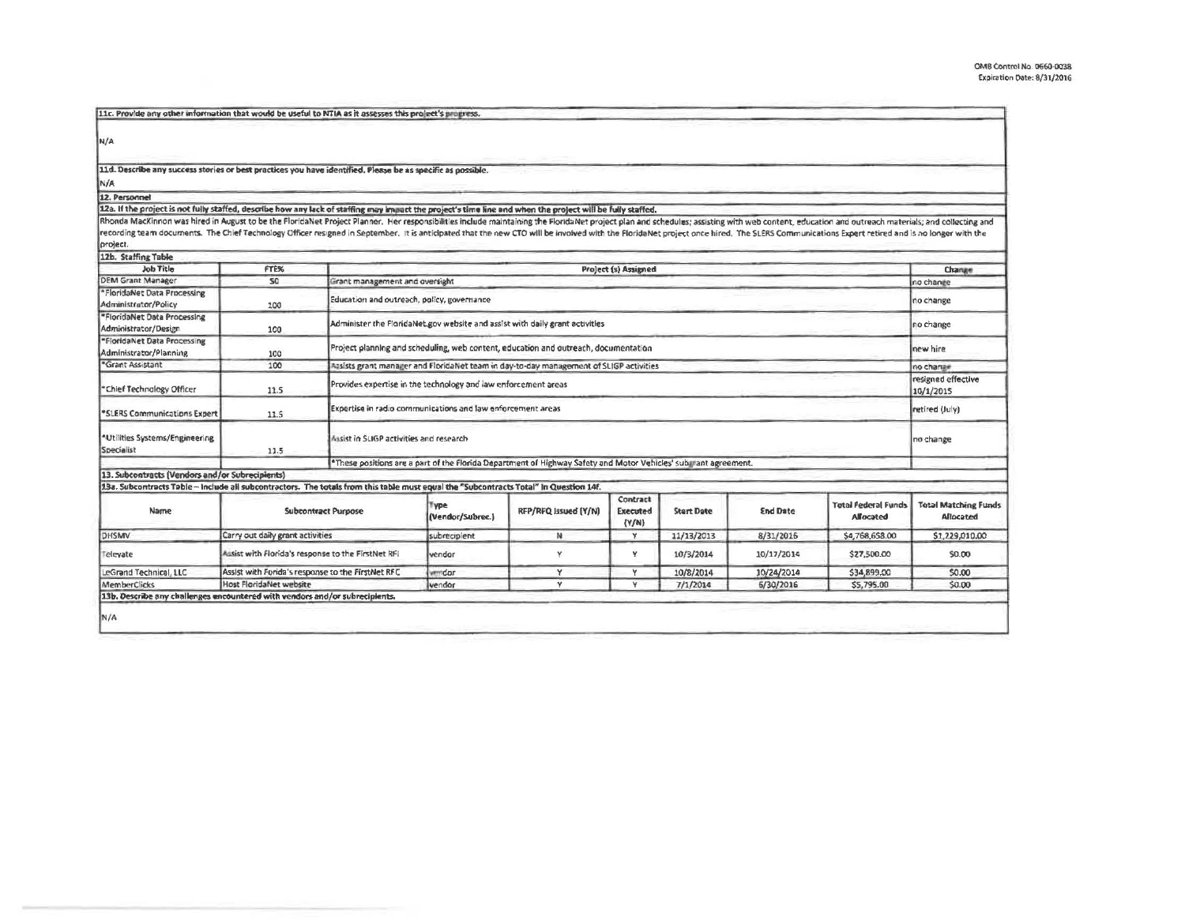| 11c. Provide any other information that would be useful to NTIA as it assesses this project's progress.                                                                                                                                                                                                                                                                                                                                                                      |                                                        |                                |                                                                                                    |                                                                                                                |                               |                   |                 |                                                |                                          |
|------------------------------------------------------------------------------------------------------------------------------------------------------------------------------------------------------------------------------------------------------------------------------------------------------------------------------------------------------------------------------------------------------------------------------------------------------------------------------|--------------------------------------------------------|--------------------------------|----------------------------------------------------------------------------------------------------|----------------------------------------------------------------------------------------------------------------|-------------------------------|-------------------|-----------------|------------------------------------------------|------------------------------------------|
| N/A                                                                                                                                                                                                                                                                                                                                                                                                                                                                          |                                                        |                                |                                                                                                    |                                                                                                                |                               |                   |                 |                                                |                                          |
| 11d. Describe any success stories or best practices you have identified. Please be as specific as possible.                                                                                                                                                                                                                                                                                                                                                                  |                                                        |                                |                                                                                                    |                                                                                                                |                               |                   |                 |                                                |                                          |
| N/A                                                                                                                                                                                                                                                                                                                                                                                                                                                                          |                                                        |                                |                                                                                                    |                                                                                                                |                               |                   |                 |                                                |                                          |
| 12. Personnel                                                                                                                                                                                                                                                                                                                                                                                                                                                                |                                                        |                                |                                                                                                    |                                                                                                                |                               |                   |                 |                                                |                                          |
| 12a. If the project is not fully staffed, describe how any lack of staffing may impact the project's time line and when the project will be fully staffed.                                                                                                                                                                                                                                                                                                                   |                                                        |                                |                                                                                                    |                                                                                                                |                               |                   |                 |                                                |                                          |
| Rhonda MacKinnon was hired in August to be the FloridaNet Project Planner. Her responsibilities include maintaining the FloridaNet project plan and schedules; assisting with web content, education and outreach materials; a<br>recording team documents. The Chief Technology Officer resigned in September. It is anticipated that the new CTO will be involved with the FloridaNet project once hired. The SLERS Communications Expert retired and is no lo<br>project. |                                                        |                                |                                                                                                    |                                                                                                                |                               |                   |                 |                                                |                                          |
| 12b. Staffing Table                                                                                                                                                                                                                                                                                                                                                                                                                                                          |                                                        |                                |                                                                                                    |                                                                                                                |                               |                   |                 |                                                |                                          |
| Job Title                                                                                                                                                                                                                                                                                                                                                                                                                                                                    | FTE%                                                   |                                |                                                                                                    |                                                                                                                | Project (s) Assigned          |                   |                 |                                                | Change                                   |
| <b>DEM Grant Manager</b>                                                                                                                                                                                                                                                                                                                                                                                                                                                     | 50                                                     | Grant management and oversight |                                                                                                    |                                                                                                                |                               |                   |                 |                                                | no change                                |
| *FloridaNet Data Processing<br>Administrator/Policy                                                                                                                                                                                                                                                                                                                                                                                                                          | 100                                                    |                                | Education and outreach, policy, governance                                                         |                                                                                                                |                               |                   |                 |                                                |                                          |
| *FloridaNet Data Processing<br>Administrator/Design                                                                                                                                                                                                                                                                                                                                                                                                                          | 100                                                    |                                | Administer the FloridaNet, gov website and assist with daily grant activities                      |                                                                                                                |                               |                   |                 |                                                |                                          |
| "FloridaNet Data Processing<br>Administrator/Planning                                                                                                                                                                                                                                                                                                                                                                                                                        | 100                                                    |                                | Project planning and scheduling, web content, education and outreach, documentation                |                                                                                                                |                               |                   |                 |                                                |                                          |
| <b>"Grant Assistant</b>                                                                                                                                                                                                                                                                                                                                                                                                                                                      | 100                                                    |                                | asists grant manager and FloridaNet team in day-to-day management of SLIGP activities<br>no change |                                                                                                                |                               |                   |                 |                                                |                                          |
| <b>Chief Technology Officer</b>                                                                                                                                                                                                                                                                                                                                                                                                                                              | 11.5                                                   |                                | Provides expertise in the technology and law enforcement areas                                     |                                                                                                                |                               |                   |                 |                                                |                                          |
| *SLERS Communications Expert                                                                                                                                                                                                                                                                                                                                                                                                                                                 | 11.5                                                   |                                | Expertise in radio communications and law enforcement areas                                        |                                                                                                                |                               |                   |                 |                                                |                                          |
| *Utilities Systems/Engineering<br>Specialist                                                                                                                                                                                                                                                                                                                                                                                                                                 | <b>Musist in SLIGP activities and research</b><br>11.5 |                                |                                                                                                    |                                                                                                                |                               |                   |                 |                                                | no change                                |
|                                                                                                                                                                                                                                                                                                                                                                                                                                                                              |                                                        |                                |                                                                                                    | *These positions are a part of the Florida Department of Highway Safety and Motor Vehicles' submant agreement. |                               |                   |                 |                                                |                                          |
| 13. Subcontracts (Vendors and/or Subrecipients)                                                                                                                                                                                                                                                                                                                                                                                                                              |                                                        |                                |                                                                                                    |                                                                                                                |                               |                   |                 |                                                |                                          |
| 13a. Subcontracts Table - Include all subcontractors. The totals from this table must equal the "Subcontracts Total" In Question 14f.                                                                                                                                                                                                                                                                                                                                        |                                                        |                                |                                                                                                    |                                                                                                                |                               |                   |                 |                                                |                                          |
| Name                                                                                                                                                                                                                                                                                                                                                                                                                                                                         |                                                        | <b>Subcontract Purpose</b>     | <b>Type</b><br>(Vendor/Subrec.)                                                                    | RFP/RFQ Issued (Y/N)                                                                                           | Contract<br>Executed<br>(Y/N) | <b>Start Date</b> | <b>End Date</b> | <b>Total Federal Funds</b><br><b>Allocated</b> | <b>Total Matching Funds</b><br>Allocated |
| DHSMV                                                                                                                                                                                                                                                                                                                                                                                                                                                                        | Carry out daily grant activities                       |                                | subrecipient                                                                                       | N                                                                                                              | Y                             | 11/13/2013        | 8/31/2016       | \$4,768,658.00                                 | \$1,229,010.00                           |
| Televate                                                                                                                                                                                                                                                                                                                                                                                                                                                                     | Assist with Florida's response to the FirstNet RFI     |                                | vendor                                                                                             | Y                                                                                                              | Y                             | 10/3/2014         | 10/17/2014      | \$27,500.00                                    | \$0.00                                   |
| LeGrand Technical, LLC                                                                                                                                                                                                                                                                                                                                                                                                                                                       | Assist with Forida's response to the FirstNet RFC      |                                | emidar                                                                                             | Y                                                                                                              | Y                             | 10/8/2014         | 10/24/2014      | \$34,899.00                                    | \$0.00                                   |
| <b>MemberClicks</b>                                                                                                                                                                                                                                                                                                                                                                                                                                                          | Host FloridaNet website                                |                                | vendor                                                                                             | Y                                                                                                              | Y                             | 7/1/2014          | 5/30/2016       | \$5,795.00                                     | \$0.00                                   |
| 13b. Describe any challenges encountered with vendors and/or subrecipients.                                                                                                                                                                                                                                                                                                                                                                                                  |                                                        |                                |                                                                                                    |                                                                                                                |                               |                   |                 |                                                |                                          |
| N/A                                                                                                                                                                                                                                                                                                                                                                                                                                                                          |                                                        |                                |                                                                                                    |                                                                                                                |                               |                   |                 |                                                |                                          |